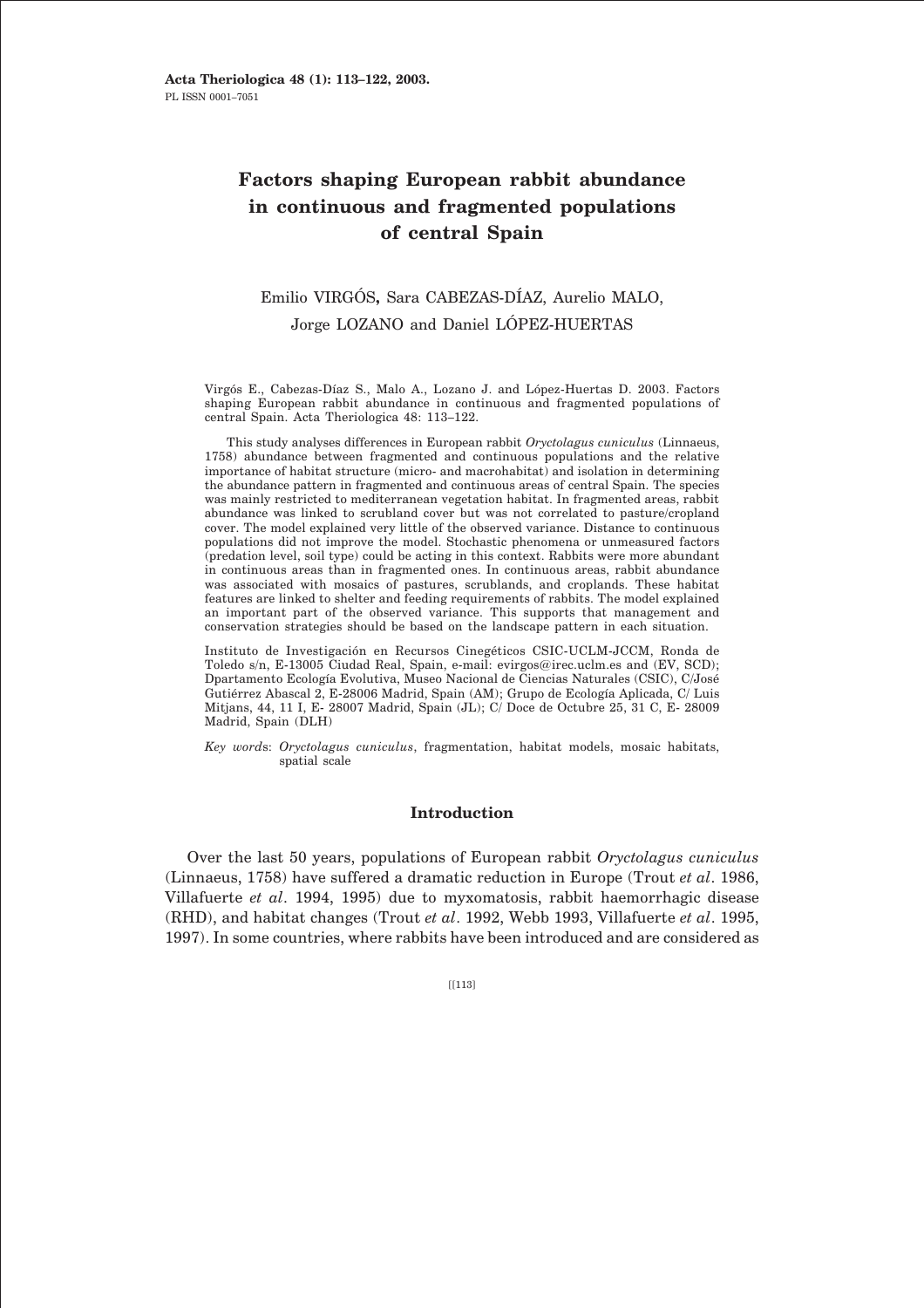# **Factors shaping European rabbit abundance in continuous and fragmented populations of central Spain**

# Emilio VIRGÓS**,** Sara CABEZAS-DÍAZ, Aurelio MALO, Jorge LOZANO and Daniel LÓPEZ-HUERTAS

Virgós E., Cabezas-Díaz S., Malo A., Lozano J. and López-Huertas D. 2003. Factors shaping European rabbit abundance in continuous and fragmented populations of central Spain. Acta Theriologica 48: 113–122.

This study analyses differences in European rabbit *Oryctolagus cuniculus* (Linnaeus, 1758) abundance between fragmented and continuous populations and the relative importance of habitat structure (micro- and macrohabitat) and isolation in determining the abundance pattern in fragmented and continuous areas of central Spain. The species was mainly restricted to mediterranean vegetation habitat. In fragmented areas, rabbit abundance was linked to scrubland cover but was not correlated to pasture/cropland cover. The model explained very little of the observed variance. Distance to continuous populations did not improve the model. Stochastic phenomena or unmeasured factors (predation level, soil type) could be acting in this context. Rabbits were more abundant in continuous areas than in fragmented ones. In continuous areas, rabbit abundance was associated with mosaics of pastures, scrublands, and croplands. These habitat features are linked to shelter and feeding requirements of rabbits. The model explained an important part of the observed variance. This supports that management and conservation strategies should be based on the landscape pattern in each situation.

Instituto de Investigación en Recursos Cinegéticos CSIC-UCLM-JCCM, Ronda de Toledo s/n, E-13005 Ciudad Real, Spain, e-mail: evirgos@irec.uclm.es and (EV, SCD); Dpartamento Ecología Evolutiva, Museo Nacional de Ciencias Naturales (CSIC), C/José Gutiérrez Abascal 2, E-28006 Madrid, Spain (AM); Grupo de Ecología Aplicada, C/ Luis Mitjans, 44, 11 I, E- 28007 Madrid, Spain (JL); C/ Doce de Octubre 25, 31 C, E- 28009 Madrid, Spain (DLH)

*Key word*s: *Oryctolagus cuniculus*, fragmentation, habitat models, mosaic habitats, spatial scale

# **Introduction**

Over the last 50 years, populations of European rabbit *Oryctolagus cuniculus* (Linnaeus, 1758) have suffered a dramatic reduction in Europe (Trout *et al*. 1986, Villafuerte *et al*. 1994, 1995) due to myxomatosis, rabbit haemorrhagic disease (RHD), and habitat changes (Trout *et al*. 1992, Webb 1993, Villafuerte *et al*. 1995, 1997). In some countries, where rabbits have been introduced and are considered as

 $[|113]$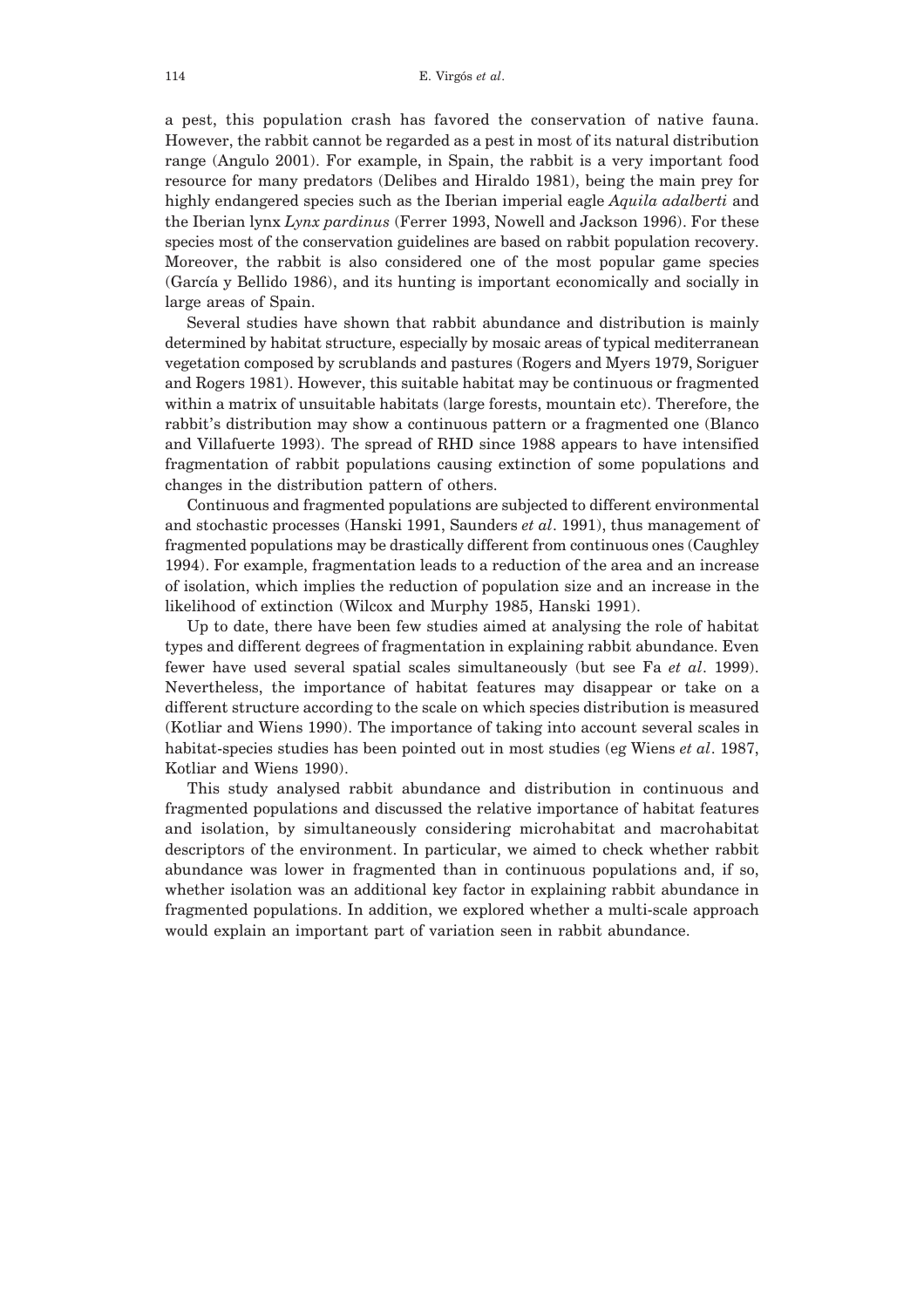a pest, this population crash has favored the conservation of native fauna. However, the rabbit cannot be regarded as a pest in most of its natural distribution range (Angulo 2001). For example, in Spain, the rabbit is a very important food resource for many predators (Delibes and Hiraldo 1981), being the main prey for highly endangered species such as the Iberian imperial eagle *Aquila adalberti* and the Iberian lynx *Lynx pardinus* (Ferrer 1993, Nowell and Jackson 1996). For these species most of the conservation guidelines are based on rabbit population recovery. Moreover, the rabbit is also considered one of the most popular game species (García y Bellido 1986), and its hunting is important economically and socially in large areas of Spain.

Several studies have shown that rabbit abundance and distribution is mainly determined by habitat structure, especially by mosaic areas of typical mediterranean vegetation composed by scrublands and pastures (Rogers and Myers 1979, Soriguer and Rogers 1981). However, this suitable habitat may be continuous or fragmented within a matrix of unsuitable habitats (large forests, mountain etc). Therefore, the rabbit's distribution may show a continuous pattern or a fragmented one (Blanco and Villafuerte 1993). The spread of RHD since 1988 appears to have intensified fragmentation of rabbit populations causing extinction of some populations and changes in the distribution pattern of others.

Continuous and fragmented populations are subjected to different environmental and stochastic processes (Hanski 1991, Saunders *et al*. 1991), thus management of fragmented populations may be drastically different from continuous ones (Caughley 1994). For example, fragmentation leads to a reduction of the area and an increase of isolation, which implies the reduction of population size and an increase in the likelihood of extinction (Wilcox and Murphy 1985, Hanski 1991).

Up to date, there have been few studies aimed at analysing the role of habitat types and different degrees of fragmentation in explaining rabbit abundance. Even fewer have used several spatial scales simultaneously (but see Fa *et al*. 1999). Nevertheless, the importance of habitat features may disappear or take on a different structure according to the scale on which species distribution is measured (Kotliar and Wiens 1990). The importance of taking into account several scales in habitat-species studies has been pointed out in most studies (eg Wiens *et al*. 1987, Kotliar and Wiens 1990).

This study analysed rabbit abundance and distribution in continuous and fragmented populations and discussed the relative importance of habitat features and isolation, by simultaneously considering microhabitat and macrohabitat descriptors of the environment. In particular, we aimed to check whether rabbit abundance was lower in fragmented than in continuous populations and, if so, whether isolation was an additional key factor in explaining rabbit abundance in fragmented populations. In addition, we explored whether a multi-scale approach would explain an important part of variation seen in rabbit abundance.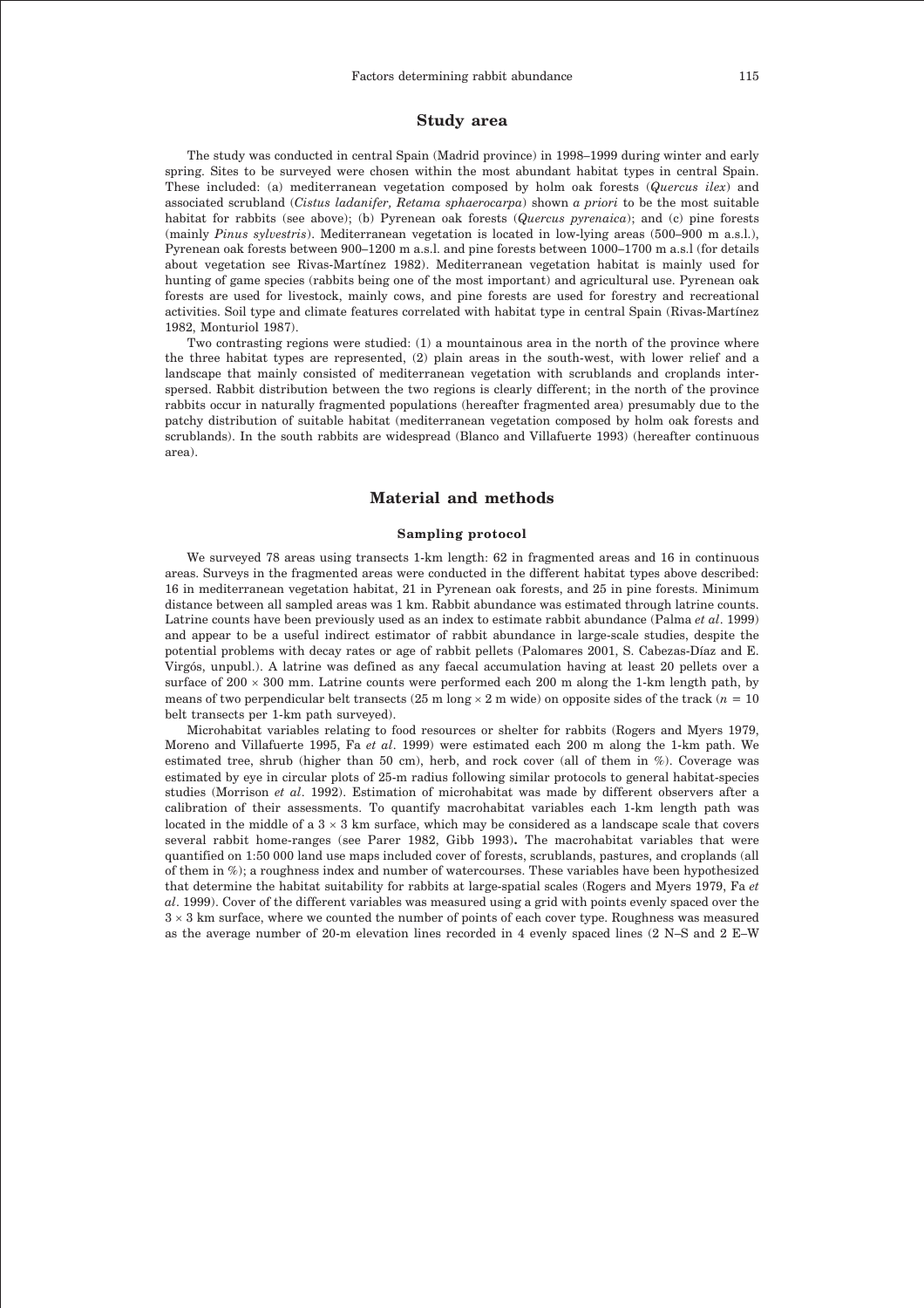# **Study area**

The study was conducted in central Spain (Madrid province) in 1998–1999 during winter and early spring. Sites to be surveyed were chosen within the most abundant habitat types in central Spain. These included: (a) mediterranean vegetation composed by holm oak forests (*Quercus ilex*) and associated scrubland (*Cistus ladanifer, Retama sphaerocarpa*) shown *a priori* to be the most suitable habitat for rabbits (see above); (b) Pyrenean oak forests (*Quercus pyrenaica*); and (c) pine forests (mainly *Pinus sylvestris*). Mediterranean vegetation is located in low-lying areas (500–900 m a.s.l.), Pyrenean oak forests between 900–1200 m a.s.l. and pine forests between 1000–1700 m a.s.l (for details about vegetation see Rivas-Martínez 1982). Mediterranean vegetation habitat is mainly used for hunting of game species (rabbits being one of the most important) and agricultural use. Pyrenean oak forests are used for livestock, mainly cows, and pine forests are used for forestry and recreational activities. Soil type and climate features correlated with habitat type in central Spain (Rivas-Martínez 1982, Monturiol 1987).

Two contrasting regions were studied: (1) a mountainous area in the north of the province where the three habitat types are represented, (2) plain areas in the south-west, with lower relief and a landscape that mainly consisted of mediterranean vegetation with scrublands and croplands interspersed. Rabbit distribution between the two regions is clearly different; in the north of the province rabbits occur in naturally fragmented populations (hereafter fragmented area) presumably due to the patchy distribution of suitable habitat (mediterranean vegetation composed by holm oak forests and scrublands). In the south rabbits are widespread (Blanco and Villafuerte 1993) (hereafter continuous area).

### **Material and methods**

#### **Sampling protocol**

We surveyed 78 areas using transects 1-km length: 62 in fragmented areas and 16 in continuous areas. Surveys in the fragmented areas were conducted in the different habitat types above described: 16 in mediterranean vegetation habitat, 21 in Pyrenean oak forests, and 25 in pine forests. Minimum distance between all sampled areas was 1 km. Rabbit abundance was estimated through latrine counts. Latrine counts have been previously used as an index to estimate rabbit abundance (Palma *et al*. 1999) and appear to be a useful indirect estimator of rabbit abundance in large-scale studies, despite the potential problems with decay rates or age of rabbit pellets (Palomares 2001, S. Cabezas-Díaz and E. Virgós, unpubl.). A latrine was defined as any faecal accumulation having at least 20 pellets over a surface of  $200 \times 300$  mm. Latrine counts were performed each  $200$  m along the 1-km length path, by means of two perpendicular belt transects (25 m long 2 m wide) on opposite sides of the track (*n* = 10 belt transects per 1-km path surveyed).

Microhabitat variables relating to food resources or shelter for rabbits (Rogers and Myers 1979, Moreno and Villafuerte 1995, Fa *et al*. 1999) were estimated each 200 m along the 1-km path. We estimated tree, shrub (higher than 50 cm), herb, and rock cover (all of them in %). Coverage was estimated by eye in circular plots of 25-m radius following similar protocols to general habitat-species studies (Morrison *et al*. 1992). Estimation of microhabitat was made by different observers after a calibration of their assessments. To quantify macrohabitat variables each 1-km length path was located in the middle of a  $3 \times 3$  km surface, which may be considered as a landscape scale that covers several rabbit home-ranges (see Parer 1982, Gibb 1993)**.** The macrohabitat variables that were quantified on 1:50 000 land use maps included cover of forests, scrublands, pastures, and croplands (all of them in %); a roughness index and number of watercourses. These variables have been hypothesized that determine the habitat suitability for rabbits at large-spatial scales (Rogers and Myers 1979, Fa *et al*. 1999). Cover of the different variables was measured using a grid with points evenly spaced over the  $3 \times 3$  km surface, where we counted the number of points of each cover type. Roughness was measured as the average number of 20-m elevation lines recorded in 4 evenly spaced lines (2 N–S and 2 E–W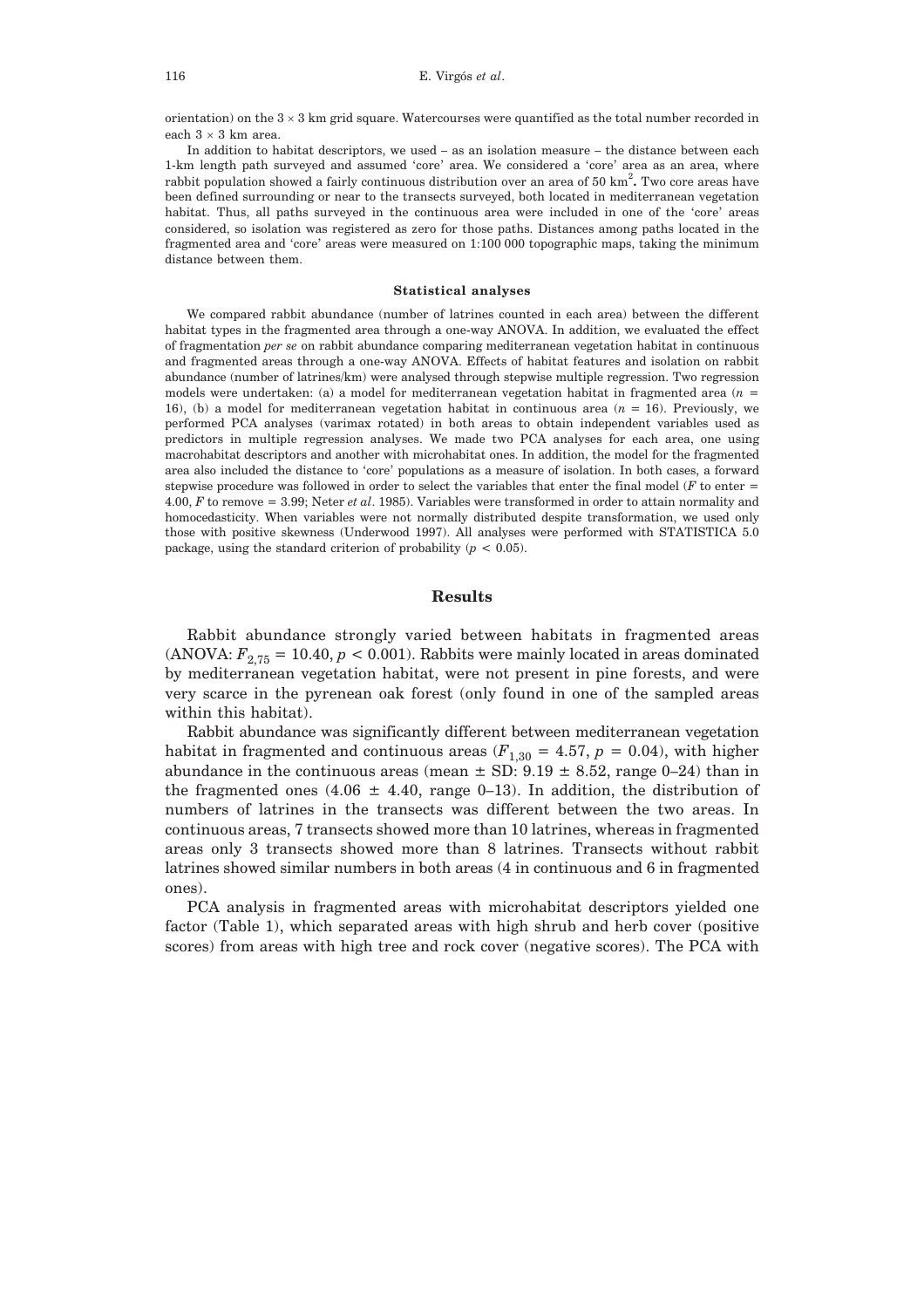orientation) on the  $3 \times 3$  km grid square. Watercourses were quantified as the total number recorded in each  $3 \times 3$  km area.

In addition to habitat descriptors, we used – as an isolation measure – the distance between each 1-km length path surveyed and assumed 'core' area. We considered a 'core' area as an area, where rabbit population showed a fairly continuous distribution over an area of 50 km<sup>2</sup> **.** Two core areas have been defined surrounding or near to the transects surveyed, both located in mediterranean vegetation habitat. Thus, all paths surveyed in the continuous area were included in one of the 'core' areas considered, so isolation was registered as zero for those paths. Distances among paths located in the fragmented area and 'core' areas were measured on 1:100 000 topographic maps, taking the minimum distance between them.

#### **Statistical analyses**

We compared rabbit abundance (number of latrines counted in each area) between the different habitat types in the fragmented area through a one-way ANOVA. In addition, we evaluated the effect of fragmentation *per se* on rabbit abundance comparing mediterranean vegetation habitat in continuous and fragmented areas through a one-way ANOVA. Effects of habitat features and isolation on rabbit abundance (number of latrines/km) were analysed through stepwise multiple regression. Two regression models were undertaken: (a) a model for mediterranean vegetation habitat in fragmented area (*n* = 16), (b) a model for mediterranean vegetation habitat in continuous area (*n* = 16). Previously, we performed PCA analyses (varimax rotated) in both areas to obtain independent variables used as predictors in multiple regression analyses. We made two PCA analyses for each area, one using macrohabitat descriptors and another with microhabitat ones. In addition, the model for the fragmented area also included the distance to 'core' populations as a measure of isolation. In both cases, a forward stepwise procedure was followed in order to select the variables that enter the final model (*F* to enter = 4.00, *F* to remove = 3.99; Neter *et al*. 1985). Variables were transformed in order to attain normality and homocedasticity. When variables were not normally distributed despite transformation, we used only those with positive skewness (Underwood 1997). All analyses were performed with STATISTICA 5.0 package, using the standard criterion of probability  $(p < 0.05)$ .

## **Results**

Rabbit abundance strongly varied between habitats in fragmented areas (ANOVA:  $F_{2,75} = 10.40, p < 0.001$ ). Rabbits were mainly located in areas dominated by mediterranean vegetation habitat, were not present in pine forests, and were very scarce in the pyrenean oak forest (only found in one of the sampled areas within this habitat).

Rabbit abundance was significantly different between mediterranean vegetation habitat in fragmented and continuous areas  $(F_{1,30} = 4.57, p = 0.04)$ , with higher abundance in the continuous areas (mean  $\pm$  SD: 9.19  $\pm$  8.52, range 0–24) than in the fragmented ones (4.06  $\pm$  4.40, range 0–13). In addition, the distribution of numbers of latrines in the transects was different between the two areas. In continuous areas, 7 transects showed more than 10 latrines, whereas in fragmented areas only 3 transects showed more than 8 latrines. Transects without rabbit latrines showed similar numbers in both areas (4 in continuous and 6 in fragmented ones).

PCA analysis in fragmented areas with microhabitat descriptors yielded one factor (Table 1), which separated areas with high shrub and herb cover (positive scores) from areas with high tree and rock cover (negative scores). The PCA with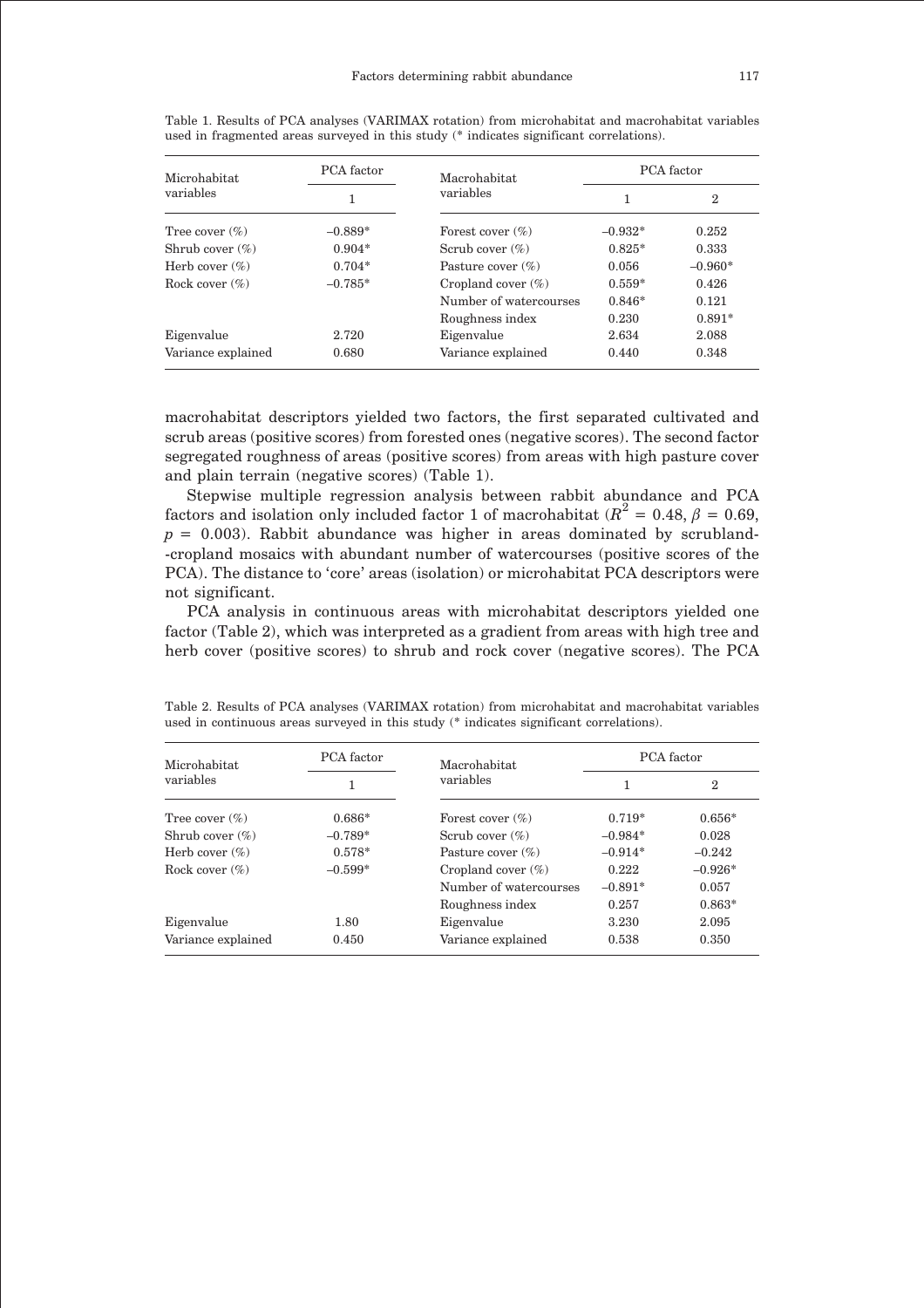| Microhabitat<br>variables | PCA factor | Macrohabitat<br>variables | PCA factor |                |
|---------------------------|------------|---------------------------|------------|----------------|
|                           |            |                           |            | $\overline{2}$ |
| Tree cover $(\%)$         | $-0.889*$  | Forest cover $(\%)$       | $-0.932*$  | 0.252          |
| Shrub cover $(\%)$        | $0.904*$   | Scrub cover $(\%)$        | $0.825*$   | 0.333          |
| Herb cover $(\%)$         | $0.704*$   | Pasture cover $(\%)$      | 0.056      | $-0.960*$      |
| Rock cover $(\%)$         | $-0.785*$  | Cropland cover $(\%)$     | $0.559*$   | 0.426          |
|                           |            | Number of watercourses    | $0.846*$   | 0.121          |
|                           |            | Roughness index           | 0.230      | $0.891*$       |
| Eigenvalue                | 2.720      | Eigenvalue                | 2.634      | 2.088          |
| Variance explained        | 0.680      | Variance explained        | 0.440      | 0.348          |

Table 1. Results of PCA analyses (VARIMAX rotation) from microhabitat and macrohabitat variables used in fragmented areas surveyed in this study (\* indicates significant correlations).

macrohabitat descriptors yielded two factors, the first separated cultivated and scrub areas (positive scores) from forested ones (negative scores). The second factor segregated roughness of areas (positive scores) from areas with high pasture cover and plain terrain (negative scores) (Table 1).

Stepwise multiple regression analysis between rabbit abundance and PCA factors and isolation only included factor 1 of macrohabitat ( $R^2 = 0.48$ ,  $\beta = 0.69$ ,  $p = 0.003$ ). Rabbit abundance was higher in areas dominated by scrubland--cropland mosaics with abundant number of watercourses (positive scores of the PCA). The distance to 'core' areas (isolation) or microhabitat PCA descriptors were not significant.

PCA analysis in continuous areas with microhabitat descriptors yielded one factor (Table 2), which was interpreted as a gradient from areas with high tree and herb cover (positive scores) to shrub and rock cover (negative scores). The PCA

| Microhabitat<br>variables | PCA factor | Macrohabitat<br>variables | PCA factor |                |
|---------------------------|------------|---------------------------|------------|----------------|
|                           |            |                           | 1          | $\overline{2}$ |
| Tree cover $(\%)$         | $0.686*$   | Forest cover $(\%)$       | $0.719*$   | $0.656*$       |
| Shrub cover $(\%)$        | $-0.789*$  | Scrub cover $(\%)$        | $-0.984*$  | 0.028          |
| Herb cover $(\%)$         | $0.578*$   | Pasture cover $(\%)$      | $-0.914*$  | $-0.242$       |
| Rock cover $(\%)$         | $-0.599*$  | Cropland cover $(\%)$     | 0.222      | $-0.926*$      |
|                           |            | Number of watercourses    | $-0.891*$  | 0.057          |
|                           |            | Roughness index           | 0.257      | $0.863*$       |
| Eigenvalue                | 1.80       | Eigenvalue                | 3.230      | 2.095          |
| Variance explained        | 0.450      | Variance explained        | 0.538      | 0.350          |

Table 2. Results of PCA analyses (VARIMAX rotation) from microhabitat and macrohabitat variables used in continuous areas surveyed in this study (\* indicates significant correlations).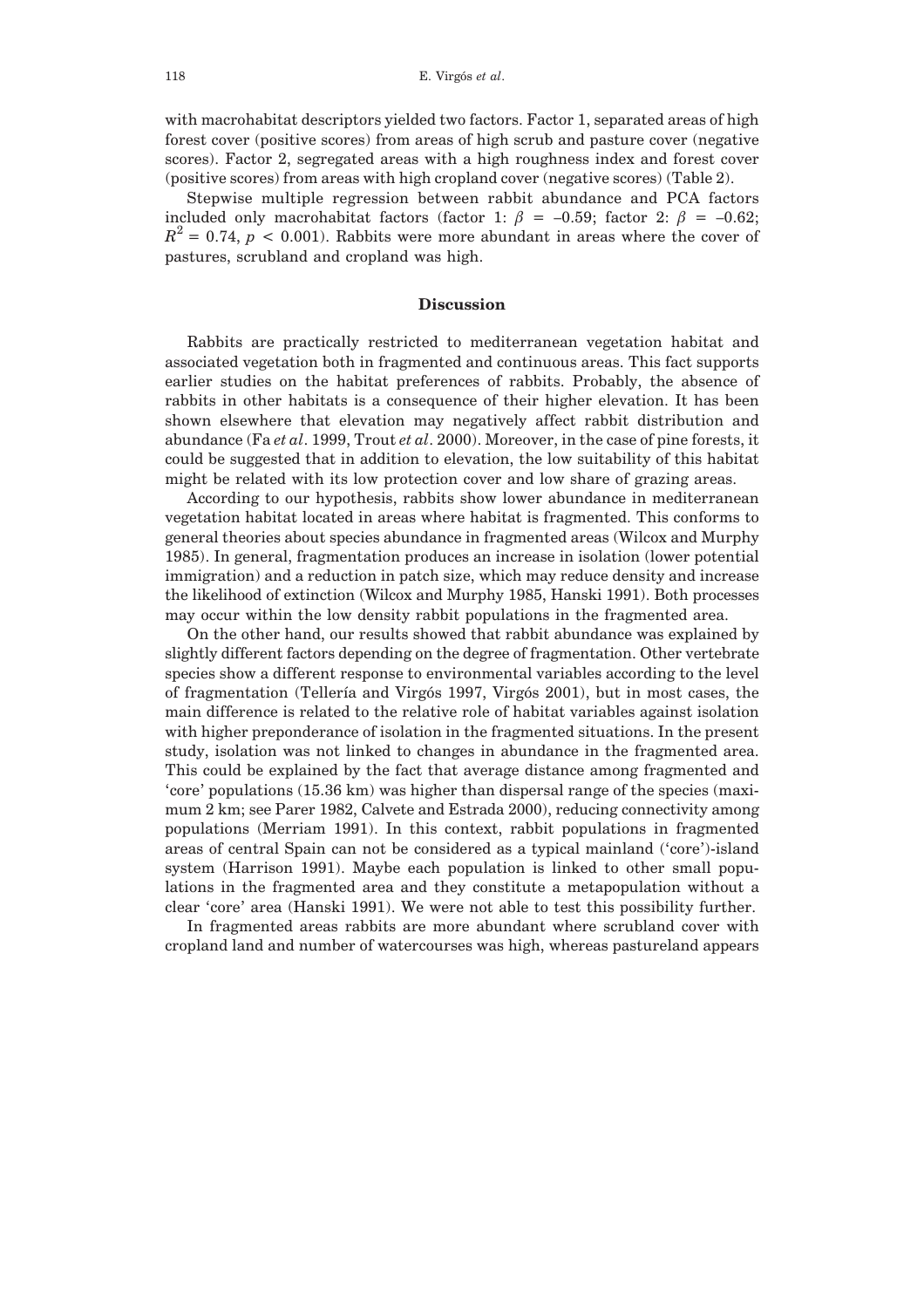with macrohabitat descriptors yielded two factors. Factor 1, separated areas of high forest cover (positive scores) from areas of high scrub and pasture cover (negative scores). Factor 2, segregated areas with a high roughness index and forest cover (positive scores) from areas with high cropland cover (negative scores) (Table 2).

Stepwise multiple regression between rabbit abundance and PCA factors included only macrohabitat factors (factor 1:  $\beta$  = -0.59; factor 2:  $\beta$  = -0.62;  $R^2 = 0.74$ ,  $p < 0.001$ ). Rabbits were more abundant in areas where the cover of pastures, scrubland and cropland was high.

### **Discussion**

Rabbits are practically restricted to mediterranean vegetation habitat and associated vegetation both in fragmented and continuous areas. This fact supports earlier studies on the habitat preferences of rabbits. Probably, the absence of rabbits in other habitats is a consequence of their higher elevation. It has been shown elsewhere that elevation may negatively affect rabbit distribution and abundance (Fa *et al*. 1999, Trout *et al*. 2000). Moreover, in the case of pine forests, it could be suggested that in addition to elevation, the low suitability of this habitat might be related with its low protection cover and low share of grazing areas.

According to our hypothesis, rabbits show lower abundance in mediterranean vegetation habitat located in areas where habitat is fragmented. This conforms to general theories about species abundance in fragmented areas (Wilcox and Murphy 1985). In general, fragmentation produces an increase in isolation (lower potential immigration) and a reduction in patch size, which may reduce density and increase the likelihood of extinction (Wilcox and Murphy 1985, Hanski 1991). Both processes may occur within the low density rabbit populations in the fragmented area.

On the other hand, our results showed that rabbit abundance was explained by slightly different factors depending on the degree of fragmentation. Other vertebrate species show a different response to environmental variables according to the level of fragmentation (Tellería and Virgós 1997, Virgós 2001), but in most cases, the main difference is related to the relative role of habitat variables against isolation with higher preponderance of isolation in the fragmented situations. In the present study, isolation was not linked to changes in abundance in the fragmented area. This could be explained by the fact that average distance among fragmented and 'core' populations (15.36 km) was higher than dispersal range of the species (maximum 2 km; see Parer 1982, Calvete and Estrada 2000), reducing connectivity among populations (Merriam 1991). In this context, rabbit populations in fragmented areas of central Spain can not be considered as a typical mainland ('core')-island system (Harrison 1991). Maybe each population is linked to other small populations in the fragmented area and they constitute a metapopulation without a clear 'core' area (Hanski 1991). We were not able to test this possibility further.

In fragmented areas rabbits are more abundant where scrubland cover with cropland land and number of watercourses was high, whereas pastureland appears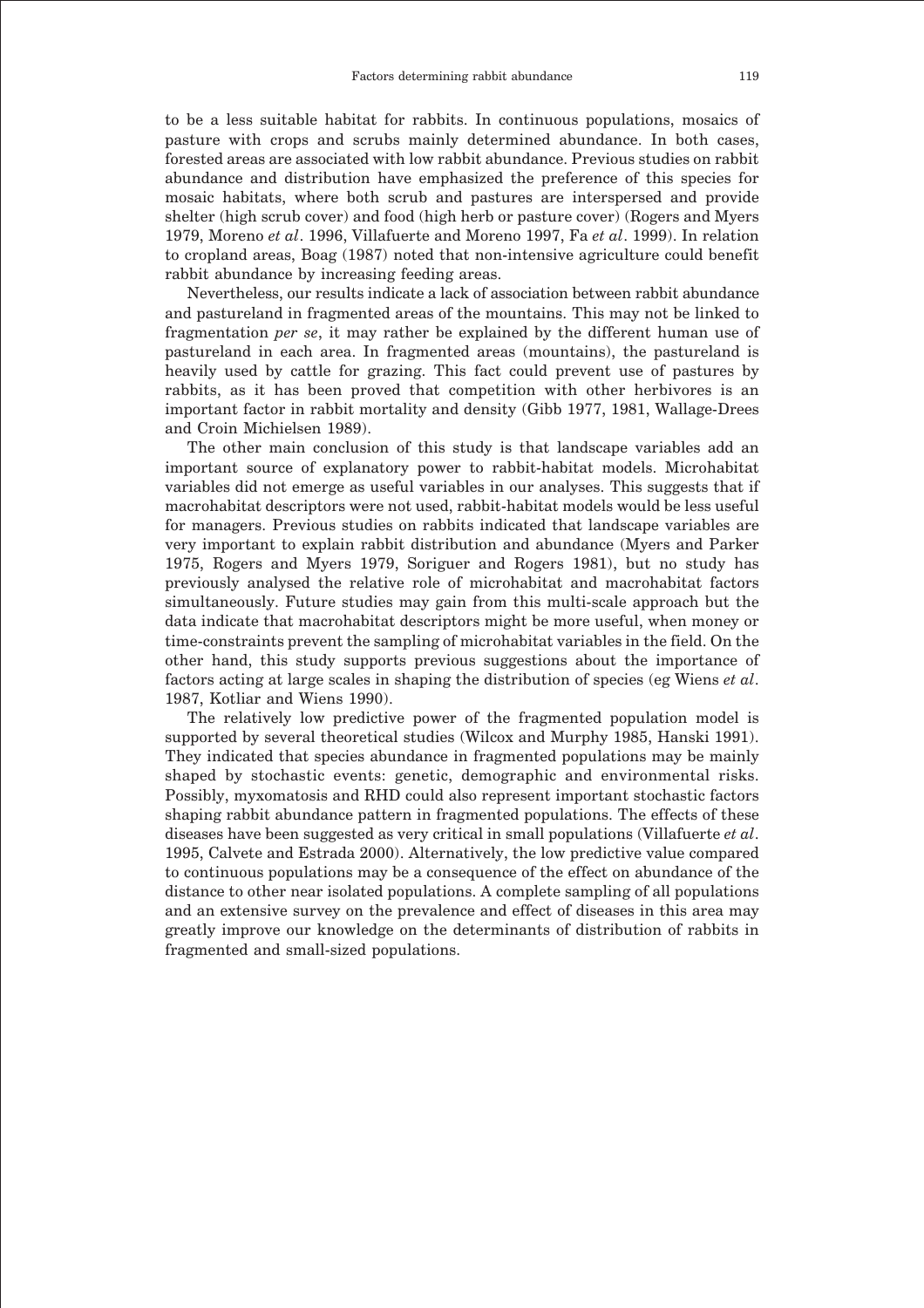to be a less suitable habitat for rabbits. In continuous populations, mosaics of pasture with crops and scrubs mainly determined abundance. In both cases, forested areas are associated with low rabbit abundance. Previous studies on rabbit abundance and distribution have emphasized the preference of this species for mosaic habitats, where both scrub and pastures are interspersed and provide shelter (high scrub cover) and food (high herb or pasture cover) (Rogers and Myers 1979, Moreno *et al*. 1996, Villafuerte and Moreno 1997, Fa *et al*. 1999). In relation to cropland areas, Boag (1987) noted that non-intensive agriculture could benefit rabbit abundance by increasing feeding areas.

Nevertheless, our results indicate a lack of association between rabbit abundance and pastureland in fragmented areas of the mountains. This may not be linked to fragmentation *per se*, it may rather be explained by the different human use of pastureland in each area. In fragmented areas (mountains), the pastureland is heavily used by cattle for grazing. This fact could prevent use of pastures by rabbits, as it has been proved that competition with other herbivores is an important factor in rabbit mortality and density (Gibb 1977, 1981, Wallage-Drees and Croin Michielsen 1989).

The other main conclusion of this study is that landscape variables add an important source of explanatory power to rabbit-habitat models. Microhabitat variables did not emerge as useful variables in our analyses. This suggests that if macrohabitat descriptors were not used, rabbit-habitat models would be less useful for managers. Previous studies on rabbits indicated that landscape variables are very important to explain rabbit distribution and abundance (Myers and Parker 1975, Rogers and Myers 1979, Soriguer and Rogers 1981), but no study has previously analysed the relative role of microhabitat and macrohabitat factors simultaneously. Future studies may gain from this multi-scale approach but the data indicate that macrohabitat descriptors might be more useful, when money or time-constraints prevent the sampling of microhabitat variables in the field. On the other hand, this study supports previous suggestions about the importance of factors acting at large scales in shaping the distribution of species (eg Wiens *et al*. 1987, Kotliar and Wiens 1990).

The relatively low predictive power of the fragmented population model is supported by several theoretical studies (Wilcox and Murphy 1985, Hanski 1991). They indicated that species abundance in fragmented populations may be mainly shaped by stochastic events: genetic, demographic and environmental risks. Possibly, myxomatosis and RHD could also represent important stochastic factors shaping rabbit abundance pattern in fragmented populations. The effects of these diseases have been suggested as very critical in small populations (Villafuerte *et al*. 1995, Calvete and Estrada 2000). Alternatively, the low predictive value compared to continuous populations may be a consequence of the effect on abundance of the distance to other near isolated populations. A complete sampling of all populations and an extensive survey on the prevalence and effect of diseases in this area may greatly improve our knowledge on the determinants of distribution of rabbits in fragmented and small-sized populations.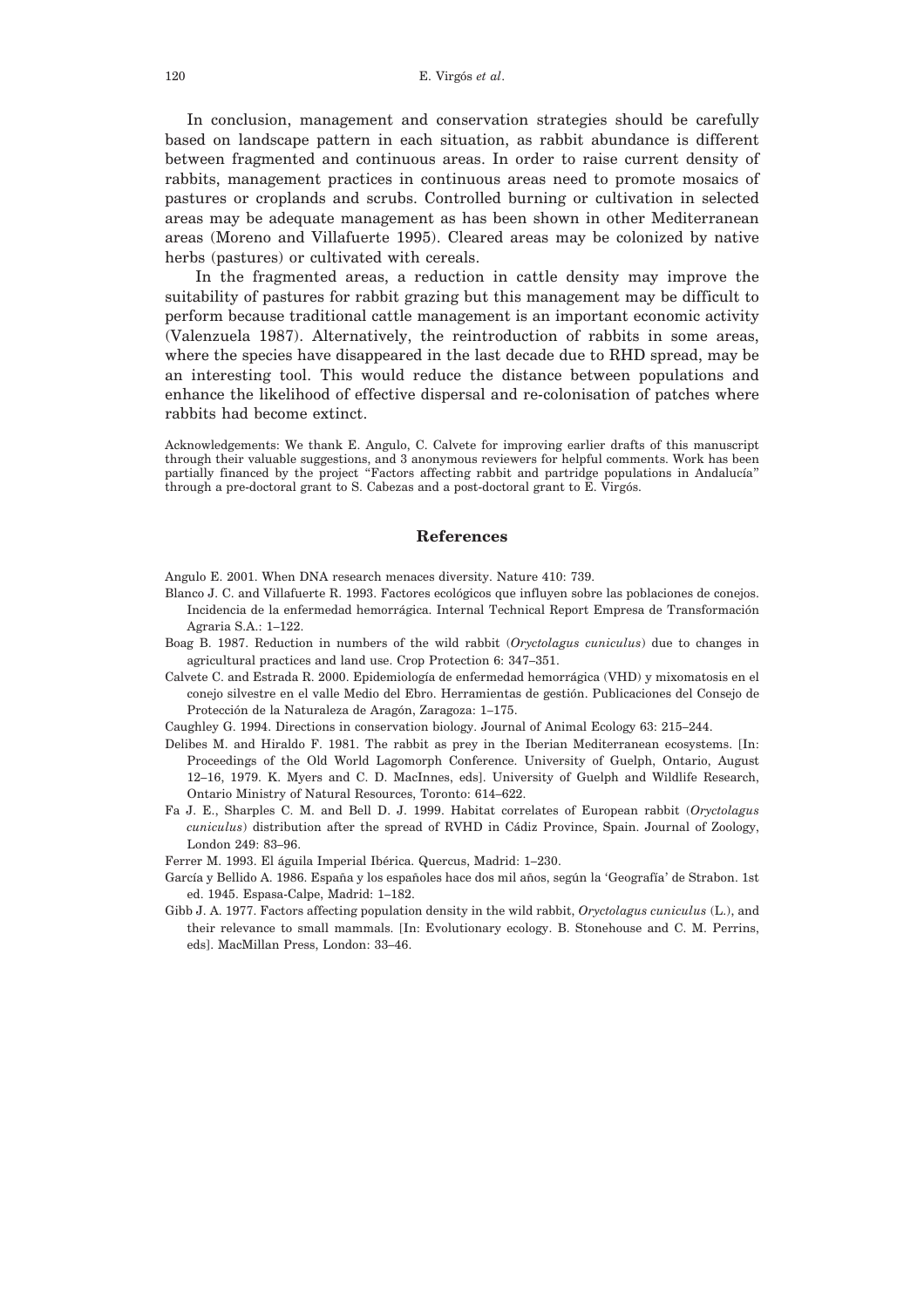120 E. Virgós *et al*.

In conclusion, management and conservation strategies should be carefully based on landscape pattern in each situation, as rabbit abundance is different between fragmented and continuous areas. In order to raise current density of rabbits, management practices in continuous areas need to promote mosaics of pastures or croplands and scrubs. Controlled burning or cultivation in selected areas may be adequate management as has been shown in other Mediterranean areas (Moreno and Villafuerte 1995). Cleared areas may be colonized by native herbs (pastures) or cultivated with cereals.

In the fragmented areas, a reduction in cattle density may improve the suitability of pastures for rabbit grazing but this management may be difficult to perform because traditional cattle management is an important economic activity (Valenzuela 1987). Alternatively, the reintroduction of rabbits in some areas, where the species have disappeared in the last decade due to RHD spread, may be an interesting tool. This would reduce the distance between populations and enhance the likelihood of effective dispersal and re-colonisation of patches where rabbits had become extinct.

Acknowledgements: We thank E. Angulo, C. Calvete for improving earlier drafts of this manuscript through their valuable suggestions, and 3 anonymous reviewers for helpful comments. Work has been partially financed by the project "Factors affecting rabbit and partridge populations in Andalucía" through a pre-doctoral grant to S. Cabezas and a post-doctoral grant to E. Virgós.

# **References**

Angulo E. 2001. When DNA research menaces diversity. Nature 410: 739.

- Blanco J. C. and Villafuerte R. 1993. Factores ecológicos que influyen sobre las poblaciones de conejos. Incidencia de la enfermedad hemorrágica. Internal Technical Report Empresa de Transformación Agraria S.A.: 1–122.
- Boag B. 1987. Reduction in numbers of the wild rabbit (*Oryctolagus cuniculus*) due to changes in agricultural practices and land use. Crop Protection 6: 347–351.
- Calvete C. and Estrada R. 2000. Epidemiología de enfermedad hemorrágica (VHD) y mixomatosis en el conejo silvestre en el valle Medio del Ebro. Herramientas de gestión. Publicaciones del Consejo de Protección de la Naturaleza de Aragón, Zaragoza: 1–175.
- Caughley G. 1994. Directions in conservation biology. Journal of Animal Ecology 63: 215–244.
- Delibes M. and Hiraldo F. 1981. The rabbit as prey in the Iberian Mediterranean ecosystems. [In: Proceedings of the Old World Lagomorph Conference. University of Guelph, Ontario, August 12–16, 1979. K. Myers and C. D. MacInnes, eds]. University of Guelph and Wildlife Research, Ontario Ministry of Natural Resources, Toronto: 614–622.
- Fa J. E., Sharples C. M. and Bell D. J. 1999. Habitat correlates of European rabbit (*Oryctolagus cuniculus*) distribution after the spread of RVHD in Cádiz Province, Spain. Journal of Zoology, London 249: 83–96.
- Ferrer M. 1993. El águila Imperial Ibérica. Quercus, Madrid: 1–230.
- García y Bellido A. 1986. España y los españoles hace dos mil años, según la 'Geografía' de Strabon. 1st ed. 1945. Espasa-Calpe, Madrid: 1–182.
- Gibb J. A. 1977. Factors affecting population density in the wild rabbit, *Oryctolagus cuniculus* (L.), and their relevance to small mammals. [In: Evolutionary ecology. B. Stonehouse and C. M. Perrins, eds]. MacMillan Press, London: 33–46.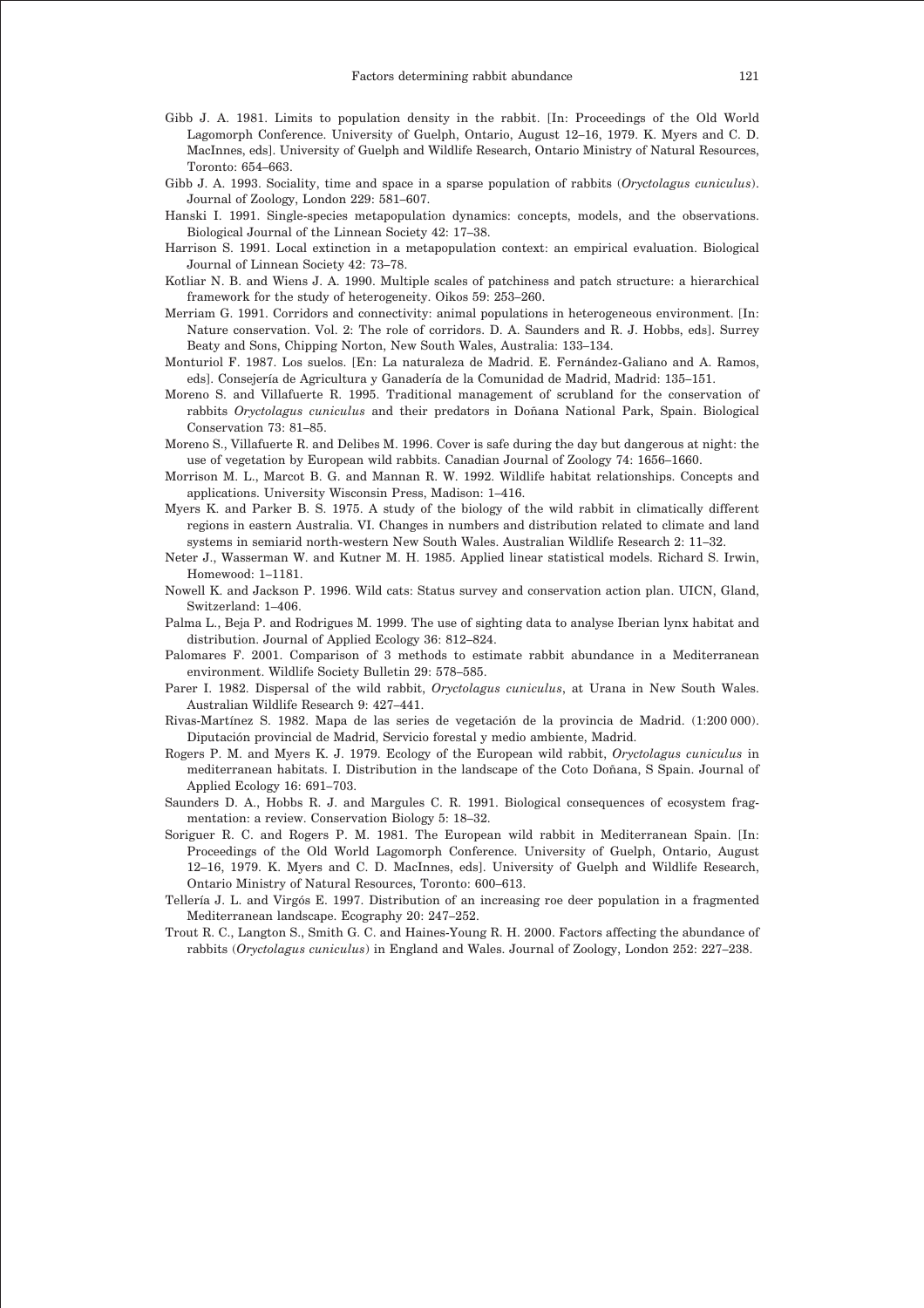- Gibb J. A. 1981. Limits to population density in the rabbit. [In: Proceedings of the Old World Lagomorph Conference. University of Guelph, Ontario, August 12–16, 1979. K. Myers and C. D. MacInnes, eds]. University of Guelph and Wildlife Research, Ontario Ministry of Natural Resources, Toronto: 654–663.
- Gibb J. A. 1993. Sociality, time and space in a sparse population of rabbits (*Oryctolagus cuniculus*). Journal of Zoology, London 229: 581–607.
- Hanski I. 1991. Single-species metapopulation dynamics: concepts, models, and the observations. Biological Journal of the Linnean Society 42: 17–38.
- Harrison S. 1991. Local extinction in a metapopulation context: an empirical evaluation. Biological Journal of Linnean Society 42: 73–78.
- Kotliar N. B. and Wiens J. A. 1990. Multiple scales of patchiness and patch structure: a hierarchical framework for the study of heterogeneity. Oikos 59: 253–260.
- Merriam G. 1991. Corridors and connectivity: animal populations in heterogeneous environment. [In: Nature conservation. Vol. 2: The role of corridors. D. A. Saunders and R. J. Hobbs, eds]. Surrey Beaty and Sons, Chipping Norton, New South Wales, Australia: 133–134.
- Monturiol F. 1987. Los suelos. [En: La naturaleza de Madrid. E. Fernández-Galiano and A. Ramos, eds]. Consejería de Agricultura y Ganadería de la Comunidad de Madrid, Madrid: 135–151.
- Moreno S. and Villafuerte R. 1995. Traditional management of scrubland for the conservation of rabbits *Oryctolagus cuniculus* and their predators in Doñana National Park, Spain. Biological Conservation 73: 81–85.
- Moreno S., Villafuerte R. and Delibes M. 1996. Cover is safe during the day but dangerous at night: the use of vegetation by European wild rabbits. Canadian Journal of Zoology 74: 1656–1660.
- Morrison M. L., Marcot B. G. and Mannan R. W. 1992. Wildlife habitat relationships. Concepts and applications. University Wisconsin Press, Madison: 1–416.
- Myers K. and Parker B. S. 1975. A study of the biology of the wild rabbit in climatically different regions in eastern Australia. VI. Changes in numbers and distribution related to climate and land systems in semiarid north-western New South Wales. Australian Wildlife Research 2: 11–32.
- Neter J., Wasserman W. and Kutner M. H. 1985. Applied linear statistical models. Richard S. Irwin, Homewood: 1–1181.
- Nowell K. and Jackson P. 1996. Wild cats: Status survey and conservation action plan. UICN, Gland, Switzerland: 1–406.
- Palma L., Beja P. and Rodrigues M. 1999. The use of sighting data to analyse Iberian lynx habitat and distribution. Journal of Applied Ecology 36: 812–824.
- Palomares F. 2001. Comparison of 3 methods to estimate rabbit abundance in a Mediterranean environment. Wildlife Society Bulletin 29: 578–585.
- Parer I. 1982. Dispersal of the wild rabbit, *Oryctolagus cuniculus*, at Urana in New South Wales. Australian Wildlife Research 9: 427–441.
- Rivas-Martínez S. 1982. Mapa de las series de vegetación de la provincia de Madrid. (1:200 000). Diputación provincial de Madrid, Servicio forestal y medio ambiente, Madrid.
- Rogers P. M. and Myers K. J. 1979. Ecology of the European wild rabbit, *Oryctolagus cuniculus* in mediterranean habitats. I. Distribution in the landscape of the Coto Doñana, S Spain. Journal of Applied Ecology 16: 691–703.
- Saunders D. A., Hobbs R. J. and Margules C. R. 1991. Biological consequences of ecosystem fragmentation: a review. Conservation Biology 5: 18–32.
- Soriguer R. C. and Rogers P. M. 1981. The European wild rabbit in Mediterranean Spain. [In: Proceedings of the Old World Lagomorph Conference. University of Guelph, Ontario, August 12–16, 1979. K. Myers and C. D. MacInnes, eds]. University of Guelph and Wildlife Research, Ontario Ministry of Natural Resources, Toronto: 600–613.
- Tellería J. L. and Virgós E. 1997. Distribution of an increasing roe deer population in a fragmented Mediterranean landscape. Ecography 20: 247–252.
- Trout R. C., Langton S., Smith G. C. and Haines-Young R. H. 2000. Factors affecting the abundance of rabbits (*Oryctolagus cuniculus*) in England and Wales. Journal of Zoology, London 252: 227–238.